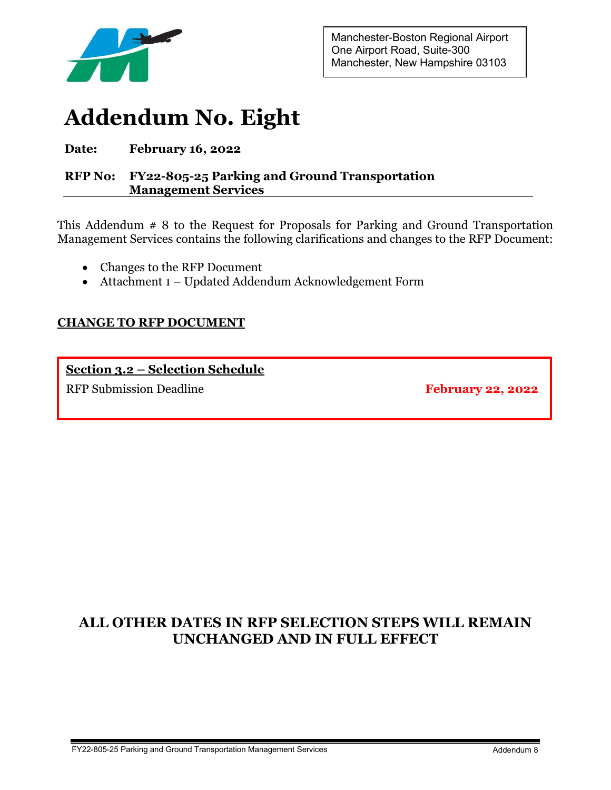

Manchester-Boston Regional Airport One Airport Road, Suite-300 Manchester, New Hampshire 03103

# **Addendum No. Eight**

#### **Date: February 16, 2022**

#### **RFP No: FY22-805-25 Parking and Ground Transportation Management Services**

This Addendum # 8 to the Request for Proposals for Parking and Ground Transportation Management Services contains the following clarifications and changes to the RFP Document:

- Changes to the RFP Document
- Attachment 1 Updated Addendum Acknowledgement Form

#### **CHANGE TO RFP DOCUMENT**

**Section 3.2 – Selection Schedule** RFP Submission Deadline **February 22, 2022** 

### **ALL OTHER DATES IN RFP SELECTION STEPS WILL REMAIN UNCHANGED AND IN FULL EFFECT**